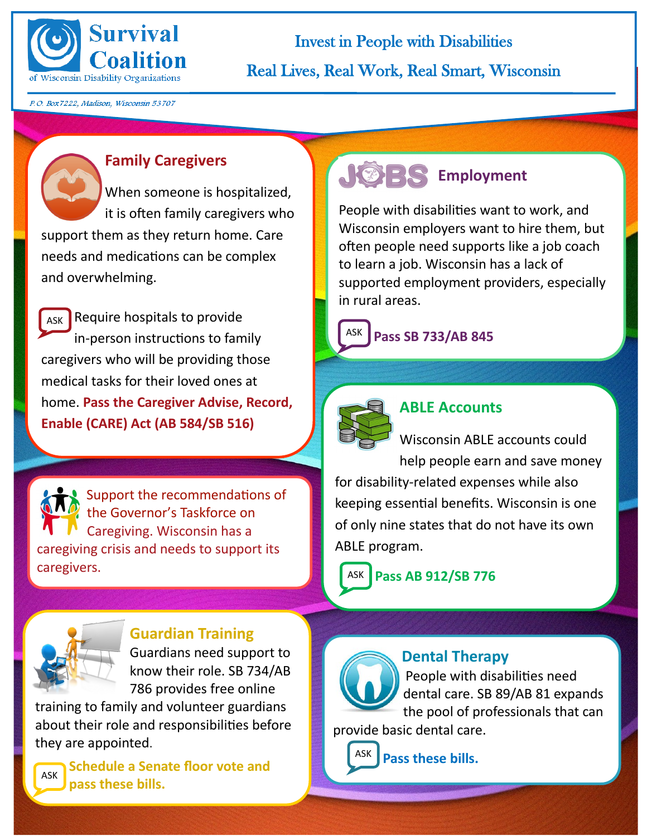

Invest in People with Disabilities Real Lives, Real Work, Real Smart, Wisconsin

P.O. Box7222, Madison, Wisconsin 53707

#### **Family Caregivers**

When someone is hospitalized, it is often family caregivers who support them as they return home. Care needs and medications can be complex and overwhelming.

 $_{\text{ASK}}$  Require hospitals to provide in-person instructions to family caregivers who will be providing those medical tasks for their loved ones at home. **Pass the Caregiver Advise, Record, Enable (CARE) Act (AB 584/SB 516)** 

 Support the recommendations of the Governor's Taskforce on Caregiving. Wisconsin has a caregiving crisis and needs to support its caregivers.

# **JOBS** Employment

People with disabilities want to work, and Wisconsin employers want to hire them, but often people need supports like a job coach to learn a job. Wisconsin has a lack of supported employment providers, especially in rural areas.

# **Pass SB 733/AB 845**



#### **ABLE Accounts**

Wisconsin ABLE accounts could help people earn and save money

for disability-related expenses while also keeping essential benefits. Wisconsin is one of only nine states that do not have its own ABLE program.

ASK **Pass AB 912/SB 776** 



#### **Guardian Training**

Guardians need support to know their role. SB 734/AB 786 provides free online

training to family and volunteer guardians about their role and responsibilities before they are appointed.

**Schedule a Senate floor vote and**  ASK **pass these bills.** 

# **Dental Therapy**

People with disabilities need dental care. SB 89/AB 81 expands the pool of professionals that can

provide basic dental care.

**Pass these bills.**